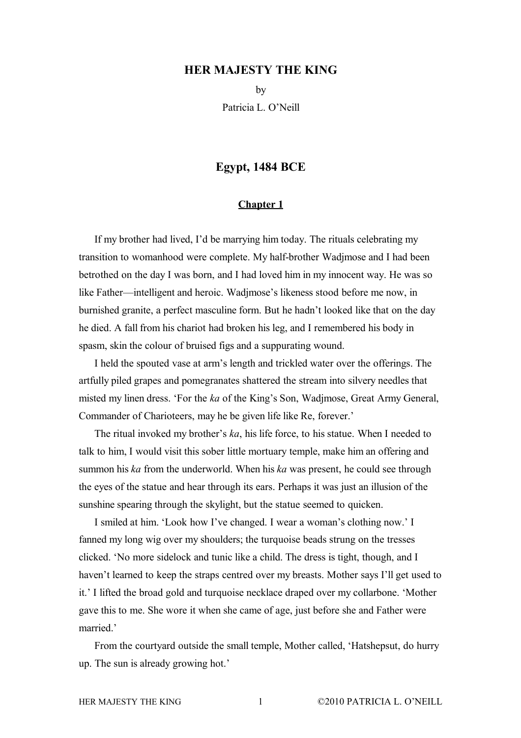## **HER MAJESTY THE KING**

by Patricia L. O'Neill

## **Egypt, 1484 BCE**

## **Chapter 1**

If my brother had lived, I'd be marrying him today. The rituals celebrating my transition to womanhood were complete. My half-brother Wadjmose and I had been betrothed on the day I was born, and I had loved him in my innocent way. He was so like Father—intelligent and heroic. Wadjmose's likeness stood before me now, in burnished granite, a perfect masculine form. But he hadn't looked like that on the day he died. A fall from his chariot had broken his leg, and I remembered his body in spasm, skin the colour of bruised figs and a suppurating wound.

I held the spouted vase at arm's length and trickled water over the offerings. The artfully piled grapes and pomegranates shattered the stream into silvery needles that misted my linen dress. 'For the *ka* of the King's Son, Wadjmose, Great Army General, Commander of Charioteers, may he be given life like Re, forever.'

The ritual invoked my brother's *ka*, his life force, to his statue. When I needed to talk to him, I would visit this sober little mortuary temple, make him an offering and summon his *ka* from the underworld. When his *ka* was present, he could see through the eyes of the statue and hear through its ears. Perhaps it was just an illusion of the sunshine spearing through the skylight, but the statue seemed to quicken.

I smiled at him. 'Look how I've changed. I wear a woman's clothing now.' I fanned my long wig over my shoulders; the turquoise beads strung on the tresses clicked. 'No more sidelock and tunic like a child. The dress is tight, though, and I haven't learned to keep the straps centred over my breasts. Mother says I'll get used to it.' I lifted the broad gold and turquoise necklace draped over my collarbone. 'Mother gave this to me. She wore it when she came of age, just before she and Father were married.'

From the courtyard outside the small temple, Mother called, 'Hatshepsut, do hurry up. The sun is already growing hot.'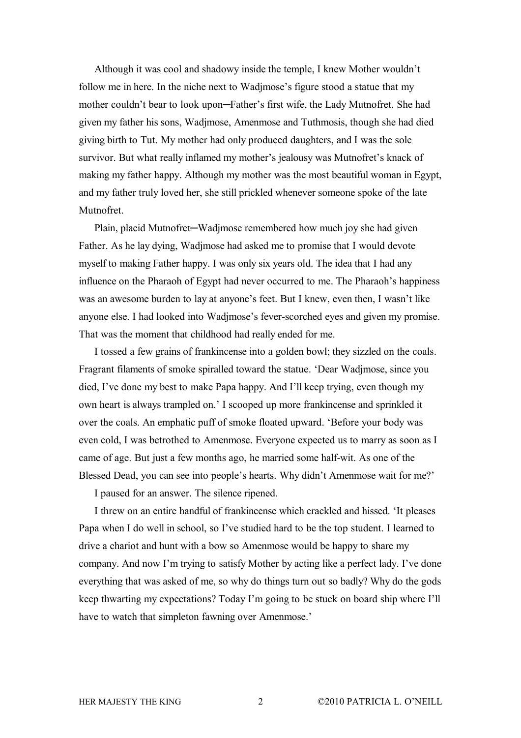Although it was cool and shadowy inside the temple, I knew Mother wouldn't follow me in here. In the niche next to Wadjmose's figure stood a statue that my mother couldn't bear to look upon─Father's first wife, the Lady Mutnofret. She had given my father his sons, Wadjmose, Amenmose and Tuthmosis, though she had died giving birth to Tut. My mother had only produced daughters, and I was the sole survivor. But what really inflamed my mother's jealousy was Mutnofret's knack of making my father happy. Although my mother was the most beautiful woman in Egypt, and my father truly loved her, she still prickled whenever someone spoke of the late **Mutnofret** 

Plain, placid Mutnofret—Wadjmose remembered how much joy she had given Father. As he lay dying, Wadjmose had asked me to promise that I would devote myself to making Father happy. I was only six years old. The idea that I had any influence on the Pharaoh of Egypt had never occurred to me. The Pharaoh's happiness was an awesome burden to lay at anyone's feet. But I knew, even then, I wasn't like anyone else. I had looked into Wadjmose's fever-scorched eyes and given my promise. That was the moment that childhood had really ended for me.

I tossed a few grains of frankincense into a golden bowl; they sizzled on the coals. Fragrant filaments of smoke spiralled toward the statue. 'Dear Wadjmose, since you died, I've done my best to make Papa happy. And I'll keep trying, even though my own heart is always trampled on.' I scooped up more frankincense and sprinkled it over the coals. An emphatic puff of smoke floated upward. 'Before your body was even cold, I was betrothed to Amenmose. Everyone expected us to marry as soon as I came of age. But just a few months ago, he married some half-wit. As one of the Blessed Dead, you can see into people's hearts. Why didn't Amenmose wait for me?'

I paused for an answer. The silence ripened.

I threw on an entire handful of frankincense which crackled and hissed. 'It pleases Papa when I do well in school, so I've studied hard to be the top student. I learned to drive a chariot and hunt with a bow so Amenmose would be happy to share my company. And now I'm trying to satisfy Mother by acting like a perfect lady. I've done everything that was asked of me, so why do things turn out so badly? Why do the gods keep thwarting my expectations? Today I'm going to be stuck on board ship where I'll have to watch that simpleton fawning over Amenmose.'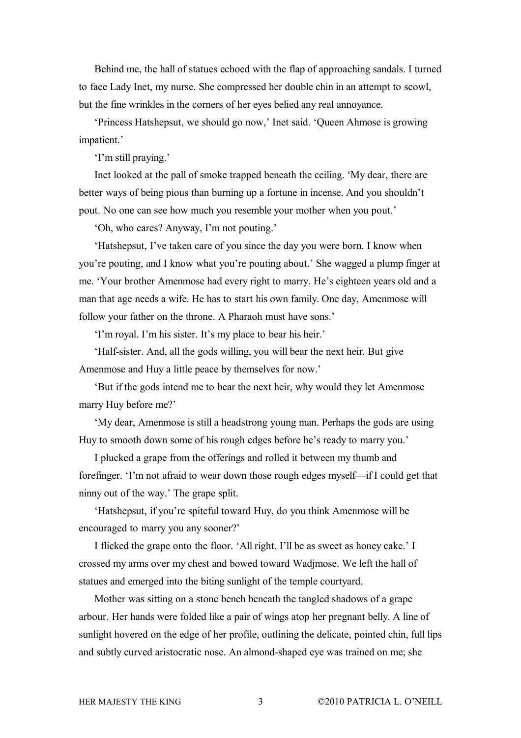Behind me, the hall of statues echoed with the flap of approaching sandals. I turned to face Lady Inet, my nurse. She compressed her double chin in an attempt to scowl, but the fine wrinkles in the corners of her eyes belied any real annoyance.

'Princess Hatshepsut, we should go now,' Inet said. 'Queen Ahmose is growing impatient.'

'I'm still praying.'

Inet looked at the pall of smoke trapped beneath the ceiling. 'My dear, there are better ways of being pious than burning up a fortune in incense. And you shouldn't pout. No one can see how much you resemble your mother when you pout.'

'Oh, who cares? Anyway, I'm not pouting.'

'Hatshepsut, I've taken care of you since the day you were born. I know when you're pouting, and I know what you're pouting about.' She wagged a plump finger at me. 'Your brother Amenmose had every right to marry. He's eighteen years old and a man that age needs a wife. He has to start his own family. One day, Amenmose will follow your father on the throne. A Pharaoh must have sons.'

'I'm royal. I'm his sister. It's my place to bear his heir.'

'Half-sister. And, all the gods willing, you will bear the next heir. But give Amenmose and Huy a little peace by themselves for now.'

'But if the gods intend me to bear the next heir, why would they let Amenmose marry Huy before me?'

'My dear, Amenmose is still a headstrong young man. Perhaps the gods are using Huy to smooth down some of his rough edges before he's ready to marry you.'

I plucked a grape from the offerings and rolled it between my thumb and forefinger. 'I'm not afraid to wear down those rough edges myself—if I could get that ninny out of the way.' The grape split.

'Hatshepsut, if you're spiteful toward Huy, do you think Amenmose will be encouraged to marry you any sooner?'

I flicked the grape onto the floor. 'All right. I'll be as sweet as honey cake.' I crossed my arms over my chest and bowed toward Wadjmose. We left the hall of statues and emerged into the biting sunlight of the temple courtyard.

Mother was sitting on a stone bench beneath the tangled shadows of a grape arbour. Her hands were folded like a pair of wings atop her pregnant belly. A line of sunlight hovered on the edge of her profile, outlining the delicate, pointed chin, full lips and subtly curved aristocratic nose. An almond-shaped eye was trained on me; she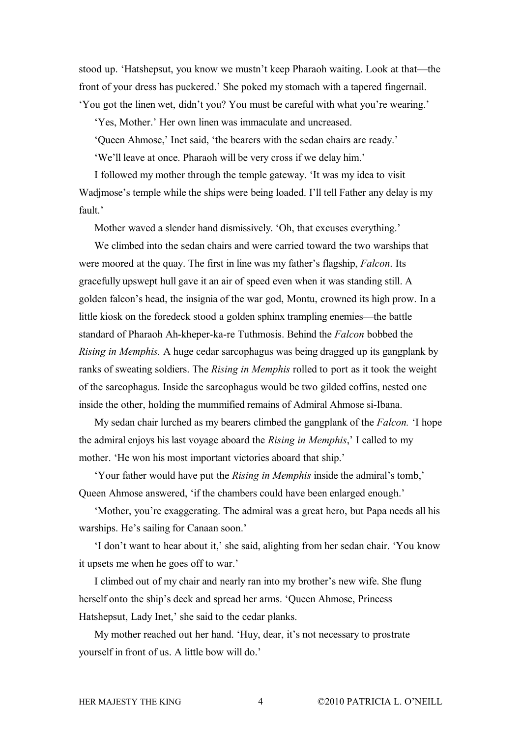stood up. 'Hatshepsut, you know we mustn't keep Pharaoh waiting. Look at that—the front of your dress has puckered.' She poked my stomach with a tapered fingernail. 'You got the linen wet, didn't you? You must be careful with what you're wearing.'

'Yes, Mother.' Her own linen was immaculate and uncreased.

'Queen Ahmose,' Inet said, 'the bearers with the sedan chairs are ready.'

'We'll leave at once. Pharaoh will be very cross if we delay him.'

I followed my mother through the temple gateway. 'It was my idea to visit Wadjmose's temple while the ships were being loaded. I'll tell Father any delay is my fault<sup>'</sup>

Mother waved a slender hand dismissively. 'Oh, that excuses everything.'

We climbed into the sedan chairs and were carried toward the two warships that were moored at the quay. The first in line was my father's flagship, *Falcon*. Its gracefully upswept hull gave it an air of speed even when it was standing still. A golden falcon's head, the insignia of the war god, Montu, crowned its high prow. In a little kiosk on the foredeck stood a golden sphinx trampling enemies—the battle standard of Pharaoh Ah-kheper-ka-re Tuthmosis. Behind the *Falcon* bobbed the *Rising in Memphis.* A huge cedar sarcophagus was being dragged up its gangplank by ranks of sweating soldiers. The *Rising in Memphis* rolled to port as it took the weight of the sarcophagus. Inside the sarcophagus would be two gilded coffins, nested one inside the other, holding the mummified remains of Admiral Ahmose si-Ibana.

My sedan chair lurched as my bearers climbed the gangplank of the *Falcon.* 'I hope the admiral enjoys his last voyage aboard the *Rising in Memphis*,' I called to my mother. 'He won his most important victories aboard that ship.'

'Your father would have put the *Rising in Memphis* inside the admiral's tomb,' Queen Ahmose answered, 'if the chambers could have been enlarged enough.'

'Mother, you're exaggerating. The admiral was a great hero, but Papa needs all his warships. He's sailing for Canaan soon.'

'I don't want to hear about it,' she said, alighting from her sedan chair. 'You know it upsets me when he goes off to war.'

I climbed out of my chair and nearly ran into my brother's new wife. She flung herself onto the ship's deck and spread her arms. 'Queen Ahmose, Princess Hatshepsut, Lady Inet,' she said to the cedar planks.

My mother reached out her hand. 'Huy, dear, it's not necessary to prostrate yourself in front of us. A little bow will do.'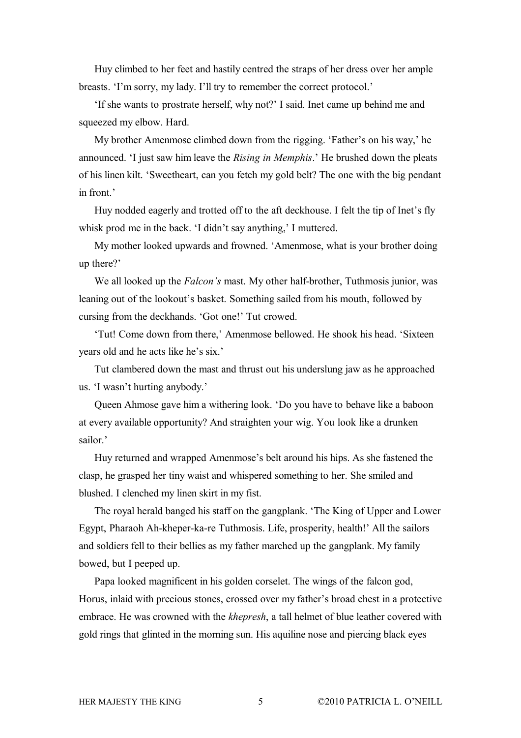Huy climbed to her feet and hastily centred the straps of her dress over her ample breasts. 'I'm sorry, my lady. I'll try to remember the correct protocol.'

'If she wants to prostrate herself, why not?' I said. Inet came up behind me and squeezed my elbow. Hard.

My brother Amenmose climbed down from the rigging. 'Father's on his way,' he announced. 'I just saw him leave the *Rising in Memphis*.' He brushed down the pleats of his linen kilt. 'Sweetheart, can you fetch my gold belt? The one with the big pendant in front.'

Huy nodded eagerly and trotted off to the aft deckhouse. I felt the tip of Inet's fly whisk prod me in the back. 'I didn't say anything,' I muttered.

My mother looked upwards and frowned. 'Amenmose, what is your brother doing up there?'

We all looked up the *Falcon's* mast. My other half-brother, Tuthmosis junior, was leaning out of the lookout's basket. Something sailed from his mouth, followed by cursing from the deckhands. 'Got one!' Tut crowed.

'Tut! Come down from there,' Amenmose bellowed. He shook his head. 'Sixteen years old and he acts like he's six.'

Tut clambered down the mast and thrust out his underslung jaw as he approached us. 'I wasn't hurting anybody.'

Queen Ahmose gave him a withering look. 'Do you have to behave like a baboon at every available opportunity? And straighten your wig. You look like a drunken sailor.'

Huy returned and wrapped Amenmose's belt around his hips. As she fastened the clasp, he grasped her tiny waist and whispered something to her. She smiled and blushed. I clenched my linen skirt in my fist.

The royal herald banged his staff on the gangplank. 'The King of Upper and Lower Egypt, Pharaoh Ah-kheper-ka-re Tuthmosis. Life, prosperity, health!' All the sailors and soldiers fell to their bellies as my father marched up the gangplank. My family bowed, but I peeped up.

Papa looked magnificent in his golden corselet. The wings of the falcon god, Horus, inlaid with precious stones, crossed over my father's broad chest in a protective embrace. He was crowned with the *khepresh*, a tall helmet of blue leather covered with gold rings that glinted in the morning sun. His aquiline nose and piercing black eyes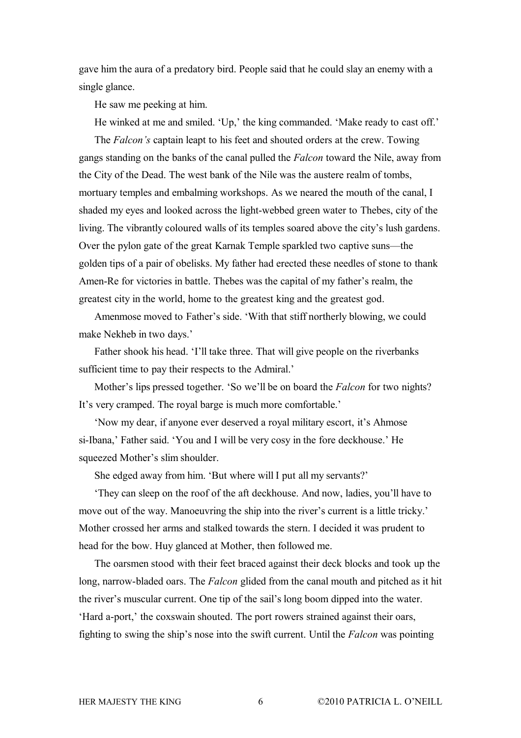gave him the aura of a predatory bird. People said that he could slay an enemy with a single glance.

He saw me peeking at him.

He winked at me and smiled. 'Up,' the king commanded. 'Make ready to cast off.'

The *Falcon's* captain leapt to his feet and shouted orders at the crew. Towing gangs standing on the banks of the canal pulled the *Falcon* toward the Nile, away from the City of the Dead. The west bank of the Nile was the austere realm of tombs, mortuary temples and embalming workshops. As we neared the mouth of the canal, I shaded my eyes and looked across the light-webbed green water to Thebes, city of the living. The vibrantly coloured walls of its temples soared above the city's lush gardens. Over the pylon gate of the great Karnak Temple sparkled two captive suns—the golden tips of a pair of obelisks. My father had erected these needles of stone to thank Amen-Re for victories in battle. Thebes was the capital of my father's realm, the greatest city in the world, home to the greatest king and the greatest god.

Amenmose moved to Father's side. 'With that stiff northerly blowing, we could make Nekheb in two days.'

Father shook his head. 'I'll take three. That will give people on the riverbanks sufficient time to pay their respects to the Admiral.'

Mother's lips pressed together. 'So we'll be on board the *Falcon* for two nights? It's very cramped. The royal barge is much more comfortable.'

'Now my dear, if anyone ever deserved a royal military escort, it's Ahmose si-Ibana,' Father said. 'You and I will be very cosy in the fore deckhouse.' He squeezed Mother's slim shoulder.

She edged away from him. 'But where will I put all my servants?'

'They can sleep on the roof of the aft deckhouse. And now, ladies, you'll have to move out of the way. Manoeuvring the ship into the river's current is a little tricky.' Mother crossed her arms and stalked towards the stern. I decided it was prudent to head for the bow. Huy glanced at Mother, then followed me.

The oarsmen stood with their feet braced against their deck blocks and took up the long, narrow-bladed oars. The *Falcon* glided from the canal mouth and pitched as it hit the river's muscular current. One tip of the sail's long boom dipped into the water. 'Hard a-port,' the coxswain shouted. The port rowers strained against their oars, fighting to swing the ship's nose into the swift current. Until the *Falcon* was pointing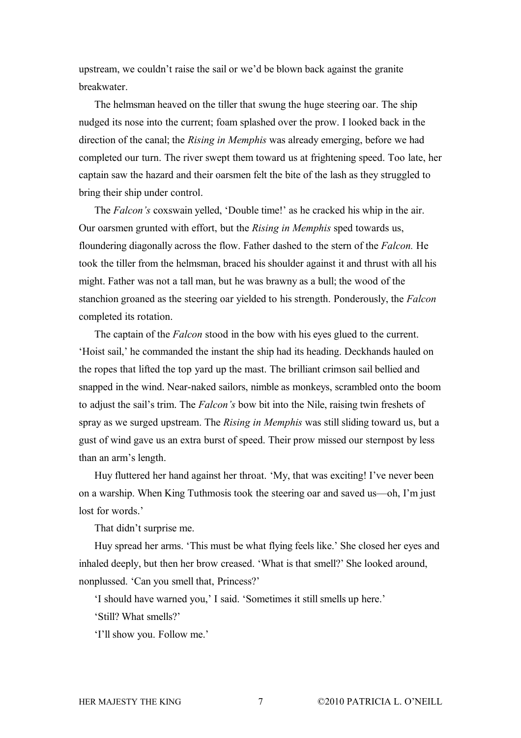upstream, we couldn't raise the sail or we'd be blown back against the granite breakwater.

The helmsman heaved on the tiller that swung the huge steering oar. The ship nudged its nose into the current; foam splashed over the prow. I looked back in the direction of the canal; the *Rising in Memphis* was already emerging, before we had completed our turn. The river swept them toward us at frightening speed. Too late, her captain saw the hazard and their oarsmen felt the bite of the lash as they struggled to bring their ship under control.

The *Falcon's* coxswain yelled, 'Double time!' as he cracked his whip in the air. Our oarsmen grunted with effort, but the *Rising in Memphis* sped towards us, floundering diagonally across the flow. Father dashed to the stern of the *Falcon.* He took the tiller from the helmsman, braced his shoulder against it and thrust with all his might. Father was not a tall man, but he was brawny as a bull; the wood of the stanchion groaned as the steering oar yielded to his strength. Ponderously, the *Falcon* completed its rotation.

The captain of the *Falcon* stood in the bow with his eyes glued to the current. 'Hoist sail,' he commanded the instant the ship had its heading. Deckhands hauled on the ropes that lifted the top yard up the mast. The brilliant crimson sail bellied and snapped in the wind. Near-naked sailors, nimble as monkeys, scrambled onto the boom to adjust the sail's trim. The *Falcon's* bow bit into the Nile, raising twin freshets of spray as we surged upstream. The *Rising in Memphis* was still sliding toward us, but a gust of wind gave us an extra burst of speed. Their prow missed our sternpost by less than an arm's length.

Huy fluttered her hand against her throat. 'My, that was exciting! I've never been on a warship. When King Tuthmosis took the steering oar and saved us—oh, I'm just lost for words.

That didn't surprise me.

Huy spread her arms. 'This must be what flying feels like.' She closed her eyes and inhaled deeply, but then her brow creased. 'What is that smell?' She looked around, nonplussed. 'Can you smell that, Princess?'

'I should have warned you,' I said. 'Sometimes it still smells up here.'

'Still? What smells?'

'I'll show you. Follow me.'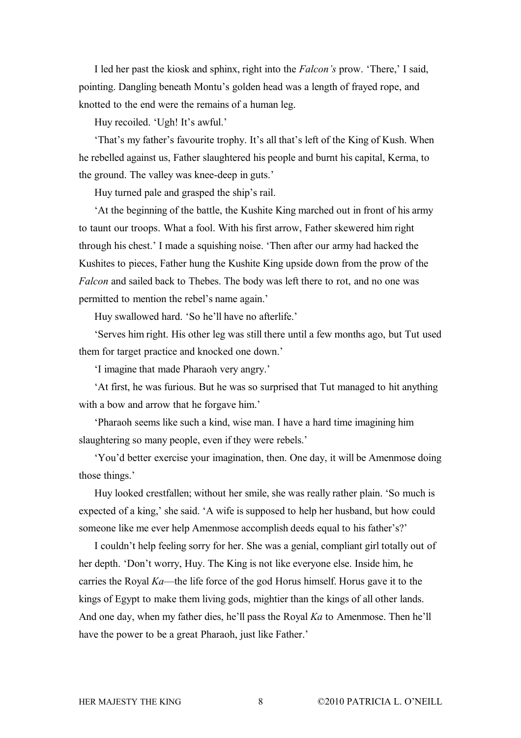I led her past the kiosk and sphinx, right into the *Falcon's* prow. 'There,' I said, pointing. Dangling beneath Montu's golden head was a length of frayed rope, and knotted to the end were the remains of a human leg.

Huy recoiled. 'Ugh! It's awful.'

'That's my father's favourite trophy. It's all that's left of the King of Kush. When he rebelled against us, Father slaughtered his people and burnt his capital, Kerma, to the ground. The valley was knee-deep in guts.'

Huy turned pale and grasped the ship's rail.

'At the beginning of the battle, the Kushite King marched out in front of his army to taunt our troops. What a fool. With his first arrow, Father skewered him right through his chest.' I made a squishing noise. 'Then after our army had hacked the Kushites to pieces, Father hung the Kushite King upside down from the prow of the *Falcon* and sailed back to Thebes. The body was left there to rot, and no one was permitted to mention the rebel's name again.'

Huy swallowed hard. 'So he'll have no afterlife.'

'Serves him right. His other leg was still there until a few months ago, but Tut used them for target practice and knocked one down.'

'I imagine that made Pharaoh very angry.'

'At first, he was furious. But he was so surprised that Tut managed to hit anything with a bow and arrow that he forgave him.'

'Pharaoh seems like such a kind, wise man. I have a hard time imagining him slaughtering so many people, even if they were rebels.'

'You'd better exercise your imagination, then. One day, it will be Amenmose doing those things.'

Huy looked crestfallen; without her smile, she was really rather plain. 'So much is expected of a king,' she said. 'A wife is supposed to help her husband, but how could someone like me ever help Amenmose accomplish deeds equal to his father's?'

I couldn't help feeling sorry for her. She was a genial, compliant girl totally out of her depth. 'Don't worry, Huy. The King is not like everyone else. Inside him, he carries the Royal *Ka*—the life force of the god Horus himself. Horus gave it to the kings of Egypt to make them living gods, mightier than the kings of all other lands. And one day, when my father dies, he'll pass the Royal *Ka* to Amenmose. Then he'll have the power to be a great Pharaoh, just like Father.'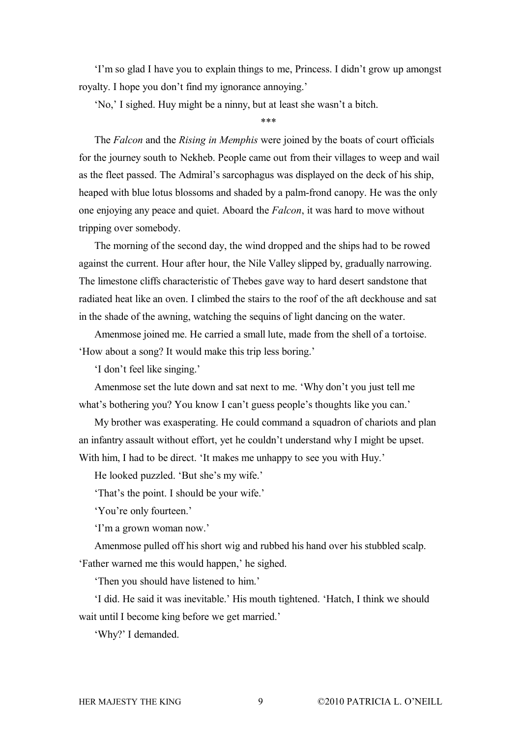'I'm so glad I have you to explain things to me, Princess. I didn't grow up amongst royalty. I hope you don't find my ignorance annoying.'

'No,' I sighed. Huy might be a ninny, but at least she wasn't a bitch.

\*\*\*

The *Falcon* and the *Rising in Memphis* were joined by the boats of court officials for the journey south to Nekheb. People came out from their villages to weep and wail as the fleet passed. The Admiral's sarcophagus was displayed on the deck of his ship, heaped with blue lotus blossoms and shaded by a palm-frond canopy. He was the only one enjoying any peace and quiet. Aboard the *Falcon*, it was hard to move without tripping over somebody.

The morning of the second day, the wind dropped and the ships had to be rowed against the current. Hour after hour, the Nile Valley slipped by, gradually narrowing. The limestone cliffs characteristic of Thebes gave way to hard desert sandstone that radiated heat like an oven. I climbed the stairs to the roof of the aft deckhouse and sat in the shade of the awning, watching the sequins of light dancing on the water.

Amenmose joined me. He carried a small lute, made from the shell of a tortoise. 'How about a song? It would make this trip less boring.'

'I don't feel like singing.'

Amenmose set the lute down and sat next to me. 'Why don't you just tell me what's bothering you? You know I can't guess people's thoughts like you can.'

My brother was exasperating. He could command a squadron of chariots and plan an infantry assault without effort, yet he couldn't understand why I might be upset. With him, I had to be direct. 'It makes me unhappy to see you with Huy.'

He looked puzzled. 'But she's my wife.'

'That's the point. I should be your wife.'

'You're only fourteen.'

'I'm a grown woman now.'

Amenmose pulled off his short wig and rubbed his hand over his stubbled scalp. 'Father warned me this would happen,' he sighed.

'Then you should have listened to him.'

'I did. He said it was inevitable.' His mouth tightened. 'Hatch, I think we should wait until I become king before we get married.'

'Why?' I demanded.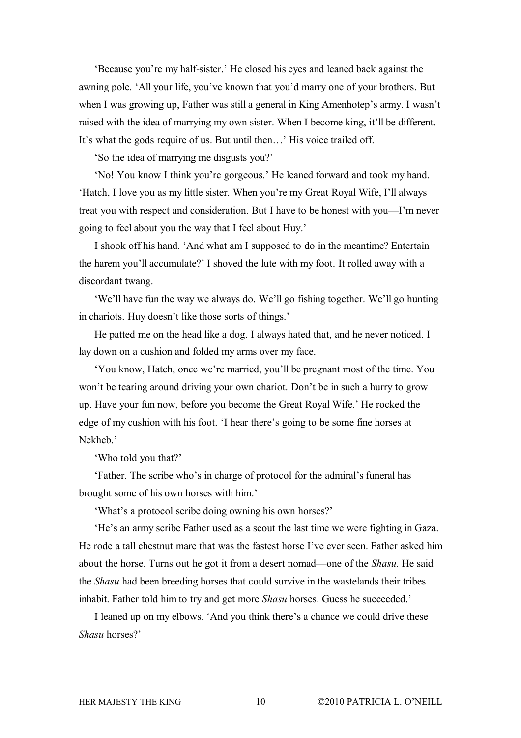'Because you're my half-sister.' He closed his eyes and leaned back against the awning pole. 'All your life, you've known that you'd marry one of your brothers. But when I was growing up, Father was still a general in King Amenhotep's army. I wasn't raised with the idea of marrying my own sister. When I become king, it'll be different. It's what the gods require of us. But until then…' His voice trailed off.

'So the idea of marrying me disgusts you?'

'No! You know I think you're gorgeous.' He leaned forward and took my hand. 'Hatch, I love you as my little sister. When you're my Great Royal Wife, I'll always treat you with respect and consideration. But I have to be honest with you—I'm never going to feel about you the way that I feel about Huy.'

I shook off his hand. 'And what am I supposed to do in the meantime? Entertain the harem you'll accumulate?' I shoved the lute with my foot. It rolled away with a discordant twang.

'We'll have fun the way we always do. We'll go fishing together. We'll go hunting in chariots. Huy doesn't like those sorts of things.'

He patted me on the head like a dog. I always hated that, and he never noticed. I lay down on a cushion and folded my arms over my face.

'You know, Hatch, once we're married, you'll be pregnant most of the time. You won't be tearing around driving your own chariot. Don't be in such a hurry to grow up. Have your fun now, before you become the Great Royal Wife.' He rocked the edge of my cushion with his foot. 'I hear there's going to be some fine horses at Nekheb.'

'Who told you that?'

'Father. The scribe who's in charge of protocol for the admiral's funeral has brought some of his own horses with him.'

'What's a protocol scribe doing owning his own horses?'

'He's an army scribe Father used as a scout the last time we were fighting in Gaza. He rode a tall chestnut mare that was the fastest horse I've ever seen. Father asked him about the horse. Turns out he got it from a desert nomad—one of the *Shasu.* He said the *Shasu* had been breeding horses that could survive in the wastelands their tribes inhabit. Father told him to try and get more *Shasu* horses. Guess he succeeded.'

I leaned up on my elbows. 'And you think there's a chance we could drive these *Shasu* horses?'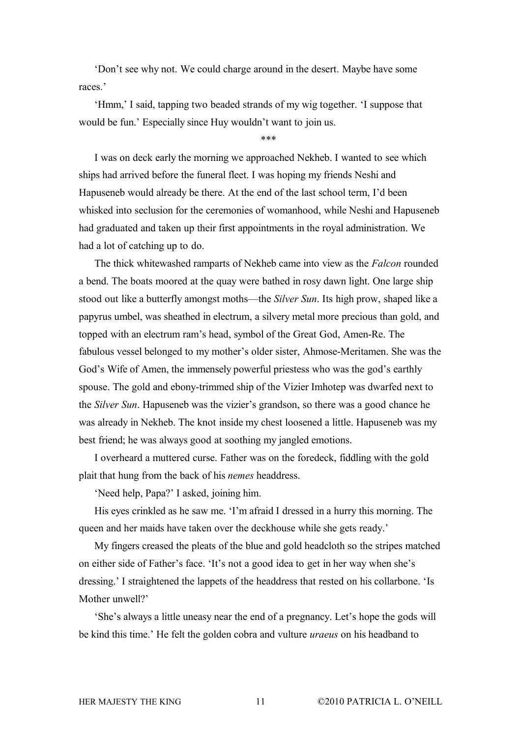'Don't see why not. We could charge around in the desert. Maybe have some races.'

'Hmm,' I said, tapping two beaded strands of my wig together. 'I suppose that would be fun.' Especially since Huy wouldn't want to join us.

\*\*\*

I was on deck early the morning we approached Nekheb. I wanted to see which ships had arrived before the funeral fleet. I was hoping my friends Neshi and Hapuseneb would already be there. At the end of the last school term, I'd been whisked into seclusion for the ceremonies of womanhood, while Neshi and Hapuseneb had graduated and taken up their first appointments in the royal administration. We had a lot of catching up to do.

The thick whitewashed ramparts of Nekheb came into view as the *Falcon* rounded a bend. The boats moored at the quay were bathed in rosy dawn light. One large ship stood out like a butterfly amongst moths—the *Silver Sun*. Its high prow, shaped like a papyrus umbel, was sheathed in electrum, a silvery metal more precious than gold, and topped with an electrum ram's head, symbol of the Great God, Amen-Re. The fabulous vessel belonged to my mother's older sister, Ahmose-Meritamen. She was the God's Wife of Amen, the immensely powerful priestess who was the god's earthly spouse. The gold and ebony-trimmed ship of the Vizier Imhotep was dwarfed next to the *Silver Sun*. Hapuseneb was the vizier's grandson, so there was a good chance he was already in Nekheb. The knot inside my chest loosened a little. Hapuseneb was my best friend; he was always good at soothing my jangled emotions.

I overheard a muttered curse. Father was on the foredeck, fiddling with the gold plait that hung from the back of his *nemes* headdress.

'Need help, Papa?' I asked, joining him.

His eyes crinkled as he saw me. 'I'm afraid I dressed in a hurry this morning. The queen and her maids have taken over the deckhouse while she gets ready.'

My fingers creased the pleats of the blue and gold headcloth so the stripes matched on either side of Father's face. 'It's not a good idea to get in her way when she's dressing.' I straightened the lappets of the headdress that rested on his collarbone. 'Is Mother unwell?'

'She's always a little uneasy near the end of a pregnancy. Let's hope the gods will be kind this time.' He felt the golden cobra and vulture *uraeus* on his headband to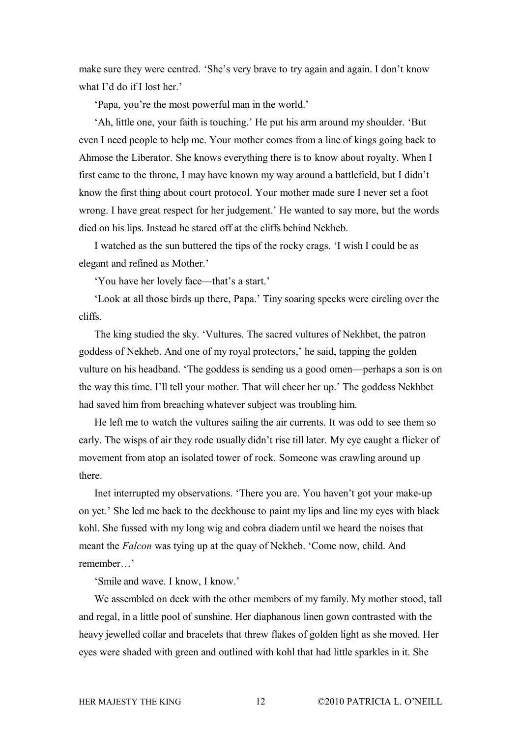make sure they were centred. 'She's very brave to try again and again. I don't know what I'd do if I lost her.'

'Papa, you're the most powerful man in the world.'

'Ah, little one, your faith is touching.' He put his arm around my shoulder. 'But even I need people to help me. Your mother comes from a line of kings going back to Ahmose the Liberator. She knows everything there is to know about royalty. When I first came to the throne, I may have known my way around a battlefield, but I didn't know the first thing about court protocol. Your mother made sure I never set a foot wrong. I have great respect for her judgement.' He wanted to say more, but the words died on his lips. Instead he stared off at the cliffs behind Nekheb.

I watched as the sun buttered the tips of the rocky crags. 'I wish I could be as elegant and refined as Mother.'

'You have her lovely face—that's a start.'

'Look at all those birds up there, Papa.' Tiny soaring specks were circling over the cliffs.

The king studied the sky. 'Vultures. The sacred vultures of Nekhbet, the patron goddess of Nekheb. And one of my royal protectors,' he said, tapping the golden vulture on his headband. 'The goddess is sending us a good omen—perhaps a son is on the way this time. I'll tell your mother. That will cheer her up.' The goddess Nekhbet had saved him from breaching whatever subject was troubling him.

He left me to watch the vultures sailing the air currents. It was odd to see them so early. The wisps of air they rode usually didn't rise till later. My eye caught a flicker of movement from atop an isolated tower of rock. Someone was crawling around up there.

Inet interrupted my observations. 'There you are. You haven't got your make-up on yet.' She led me back to the deckhouse to paint my lips and line my eyes with black kohl. She fussed with my long wig and cobra diadem until we heard the noises that meant the *Falcon* was tying up at the quay of Nekheb. 'Come now, child. And remember…'

'Smile and wave. I know, I know.'

We assembled on deck with the other members of my family. My mother stood, tall and regal, in a little pool of sunshine. Her diaphanous linen gown contrasted with the heavy jewelled collar and bracelets that threw flakes of golden light as she moved. Her eyes were shaded with green and outlined with kohl that had little sparkles in it. She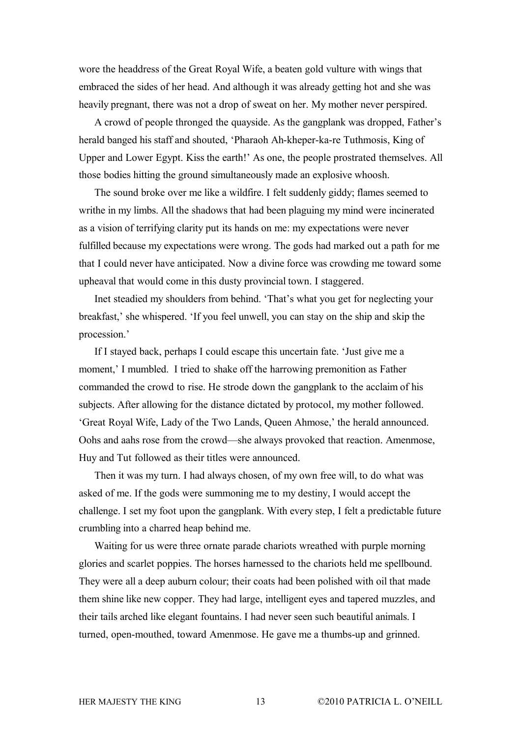wore the headdress of the Great Royal Wife, a beaten gold vulture with wings that embraced the sides of her head. And although it was already getting hot and she was heavily pregnant, there was not a drop of sweat on her. My mother never perspired.

A crowd of people thronged the quayside. As the gangplank was dropped, Father's herald banged his staff and shouted, 'Pharaoh Ah-kheper-ka-re Tuthmosis, King of Upper and Lower Egypt. Kiss the earth!' As one, the people prostrated themselves. All those bodies hitting the ground simultaneously made an explosive whoosh.

The sound broke over me like a wildfire. I felt suddenly giddy; flames seemed to writhe in my limbs. All the shadows that had been plaguing my mind were incinerated as a vision of terrifying clarity put its hands on me: my expectations were never fulfilled because my expectations were wrong. The gods had marked out a path for me that I could never have anticipated. Now a divine force was crowding me toward some upheaval that would come in this dusty provincial town. I staggered.

Inet steadied my shoulders from behind. 'That's what you get for neglecting your breakfast,' she whispered. 'If you feel unwell, you can stay on the ship and skip the procession.'

If I stayed back, perhaps I could escape this uncertain fate. 'Just give me a moment,' I mumbled. I tried to shake off the harrowing premonition as Father commanded the crowd to rise. He strode down the gangplank to the acclaim of his subjects. After allowing for the distance dictated by protocol, my mother followed. 'Great Royal Wife, Lady of the Two Lands, Queen Ahmose,' the herald announced. Oohs and aahs rose from the crowd—she always provoked that reaction. Amenmose, Huy and Tut followed as their titles were announced.

Then it was my turn. I had always chosen, of my own free will, to do what was asked of me. If the gods were summoning me to my destiny, I would accept the challenge. I set my foot upon the gangplank. With every step, I felt a predictable future crumbling into a charred heap behind me.

Waiting for us were three ornate parade chariots wreathed with purple morning glories and scarlet poppies. The horses harnessed to the chariots held me spellbound. They were all a deep auburn colour; their coats had been polished with oil that made them shine like new copper. They had large, intelligent eyes and tapered muzzles, and their tails arched like elegant fountains. I had never seen such beautiful animals. I turned, open-mouthed, toward Amenmose. He gave me a thumbs-up and grinned.